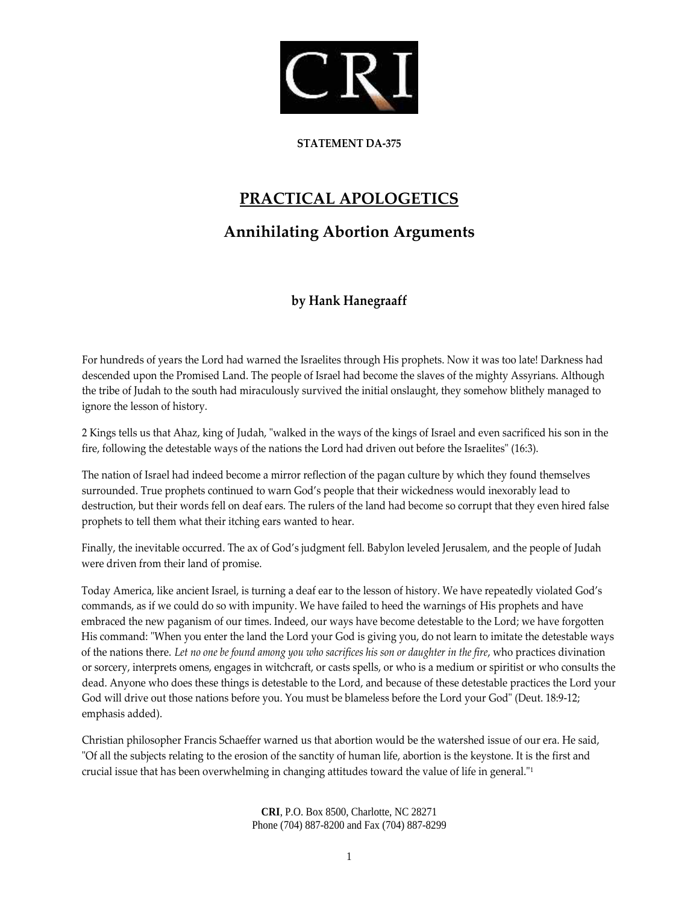

#### **STATEMENT DA‐375**

# **PRACTICAL APOLOGETICS**

# **Annihilating Abortion Arguments**

# **by Hank Hanegraaff**

For hundreds of years the Lord had warned the Israelites through His prophets. Now it was too late! Darkness had descended upon the Promised Land. The people of Israel had become the slaves of the mighty Assyrians. Although the tribe of Judah to the south had miraculously survived the initial onslaught, they somehow blithely managed to ignore the lesson of history.

2 Kings tells us that Ahaz, king of Judah, "walked in the ways of the kings of Israel and even sacrificed his son in the fire, following the detestable ways of the nations the Lord had driven out before the Israelites" (16:3).

The nation of Israel had indeed become a mirror reflection of the pagan culture by which they found themselves surrounded. True prophets continued to warn God's people that their wickedness would inexorably lead to destruction, but their words fell on deaf ears. The rulers of the land had become so corrupt that they even hired false prophets to tell them what their itching ears wanted to hear.

Finally, the inevitable occurred. The ax of God's judgment fell. Babylon leveled Jerusalem, and the people of Judah were driven from their land of promise.

Today America, like ancient Israel, is turning a deaf ear to the lesson of history. We have repeatedly violated God's commands, as if we could do so with impunity. We have failed to heed the warnings of His prophets and have embraced the new paganism of our times. Indeed, our ways have become detestable to the Lord; we have forgotten His command: "When you enter the land the Lord your God is giving you, do not learn to imitate the detestable ways of the nations there. Let no one be found among you who sacrifices his son or daughter in the fire, who practices divination or sorcery, interprets omens, engages in witchcraft, or casts spells, or who is a medium or spiritist or who consults the dead. Anyone who does these things is detestable to the Lord, and because of these detestable practices the Lord your God will drive out those nations before you. You must be blameless before the Lord your God" (Deut. 18:9-12; emphasis added).

Christian philosopher Francis Schaeffer warned us that abortion would be the watershed issue of our era. He said, ʺOf all the subjects relating to the erosion of the sanctity of human life, abortion is the keystone. It is the first and crucial issue that has been overwhelming in changing attitudes toward the value of life in general."<sup>1</sup>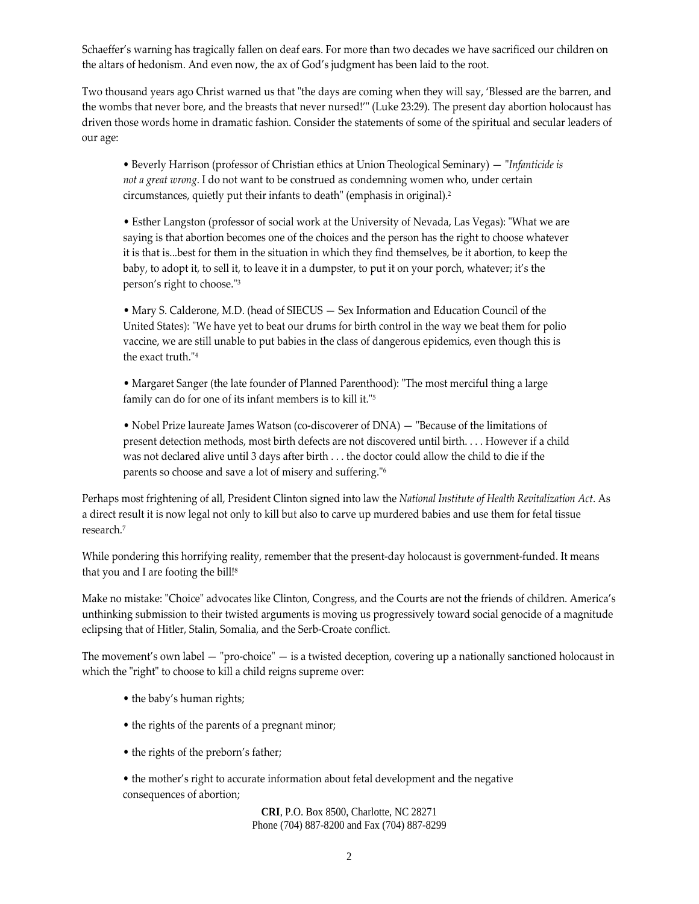Schaeffer's warning has tragically fallen on deaf ears. For more than two decades we have sacrificed our children on the altars of hedonism. And even now, the ax of God's judgment has been laid to the root.

Two thousand years ago Christ warned us that "the days are coming when they will say, 'Blessed are the barren, and the wombs that never bore, and the breasts that never nursed!" (Luke 23:29). The present day abortion holocaust has driven those words home in dramatic fashion. Consider the statements of some of the spiritual and secular leaders of our age:

• Beverly Harrison (professor of Christian ethics at Union Theological Seminary) — "*Infanticide is not a great wrong*. I do not want to be construed as condemning women who, under certain circumstances, quietly put their infants to death" (emphasis in original).<sup>2</sup>

• Esther Langston (professor of social work at the University of Nevada, Las Vegas): "What we are saying is that abortion becomes one of the choices and the person has the right to choose whatever it is that is...best for them in the situation in which they find themselves, be it abortion, to keep the baby, to adopt it, to sell it, to leave it in a dumpster, to put it on your porch, whatever; it's the person's right to choose."3

• Mary S. Calderone, M.D. (head of SIECUS — Sex Information and Education Council of the United States): "We have yet to beat our drums for birth control in the way we beat them for polio vaccine, we are still unable to put babies in the class of dangerous epidemics, even though this is the exact truth."<sup>4</sup>

• Margaret Sanger (the late founder of Planned Parenthood): "The most merciful thing a large family can do for one of its infant members is to kill it."<sup>5</sup>

• Nobel Prize laureate James Watson (co-discoverer of DNA) — "Because of the limitations of present detection methods, most birth defects are not discovered until birth. . . . However if a child was not declared alive until 3 days after birth . . . the doctor could allow the child to die if the parents so choose and save a lot of misery and suffering.<sup>16</sup>

Perhaps most frightening of all, President Clinton signed into law the *National Institute of Health Revitalization Act*. As a direct result it is now legal not only to kill but also to carve up murdered babies and use them for fetal tissue research.7

While pondering this horrifying reality, remember that the present-day holocaust is government-funded. It means that you and I are footing the bill!<sup>8</sup>

Make no mistake: "Choice" advocates like Clinton, Congress, and the Courts are not the friends of children. America's unthinking submission to their twisted arguments is moving us progressively toward social genocide of a magnitude eclipsing that of Hitler, Stalin, Somalia, and the Serb‐Croate conflict.

The movement's own label  $-$  "pro-choice"  $-$  is a twisted deception, covering up a nationally sanctioned holocaust in which the "right" to choose to kill a child reigns supreme over:

- the baby's human rights;
- the rights of the parents of a pregnant minor;
- the rights of the preborn's father;
- the mother's right to accurate information about fetal development and the negative consequences of abortion;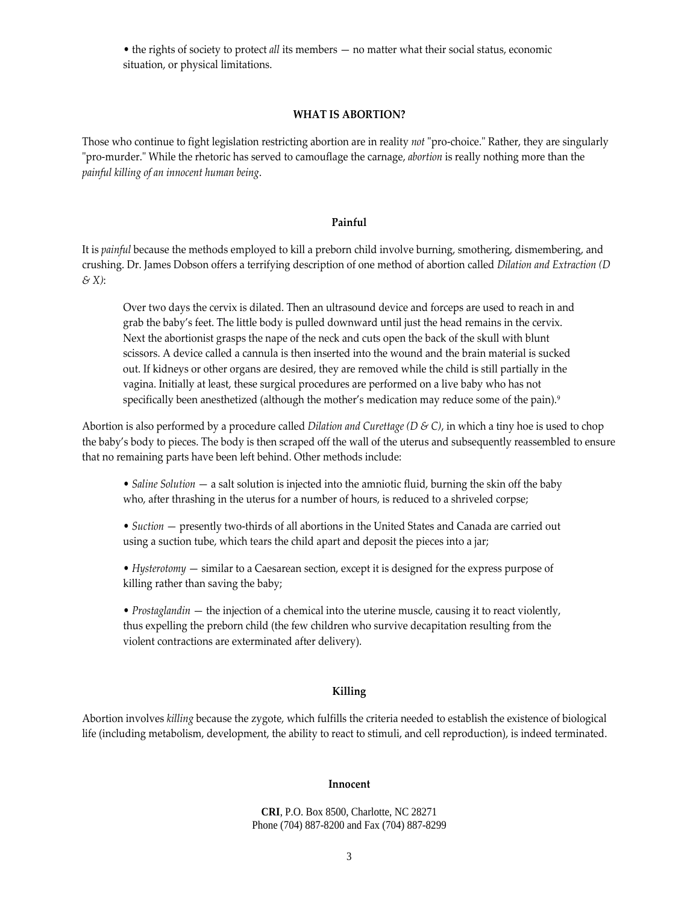• the rights of society to protect *all* its members — no matter what their social status, economic situation, or physical limitations.

#### **WHAT IS ABORTION?**

Those who continue to fight legislation restricting abortion are in reality *not* "pro-choice." Rather, they are singularly ʺpro‐murder.ʺ While the rhetoric has served to camouflage the carnage, *abortion* is really nothing more than the *painful killing of an innocent human being*.

#### **Painful**

It is *painful* because the methods employed to kill a preborn child involve burning, smothering, dismembering, and crushing. Dr. James Dobson offers a terrifying description of one method of abortion called *Dilation and Extraction (D & X)*:

Over two days the cervix is dilated. Then an ultrasound device and forceps are used to reach in and grab the baby's feet. The little body is pulled downward until just the head remains in the cervix. Next the abortionist grasps the nape of the neck and cuts open the back of the skull with blunt scissors. A device called a cannula is then inserted into the wound and the brain material is sucked out. If kidneys or other organs are desired, they are removed while the child is still partially in the vagina. Initially at least, these surgical procedures are performed on a live baby who has not specifically been anesthetized (although the mother's medication may reduce some of the pain).<sup>9</sup>

Abortion is also performed by a procedure called *Dilation and Curettage (D & C)*, in which a tiny hoe is used to chop the baby's body to pieces. The body is then scraped off the wall of the uterus and subsequently reassembled to ensure that no remaining parts have been left behind. Other methods include:

- *Saline Solution* a salt solution is injected into the amniotic fluid, burning the skin off the baby who, after thrashing in the uterus for a number of hours, is reduced to a shriveled corpse;
- *Suction* presently two-thirds of all abortions in the United States and Canada are carried out using a suction tube, which tears the child apart and deposit the pieces into a jar;
- *Hysterotomy* similar to a Caesarean section, except it is designed for the express purpose of killing rather than saving the baby;

• *Prostaglandin* — the injection of a chemical into the uterine muscle, causing it to react violently, thus expelling the preborn child (the few children who survive decapitation resulting from the violent contractions are exterminated after delivery).

#### **Killing**

Abortion involves *killing* because the zygote, which fulfills the criteria needed to establish the existence of biological life (including metabolism, development, the ability to react to stimuli, and cell reproduction), is indeed terminated.

#### **Innocent**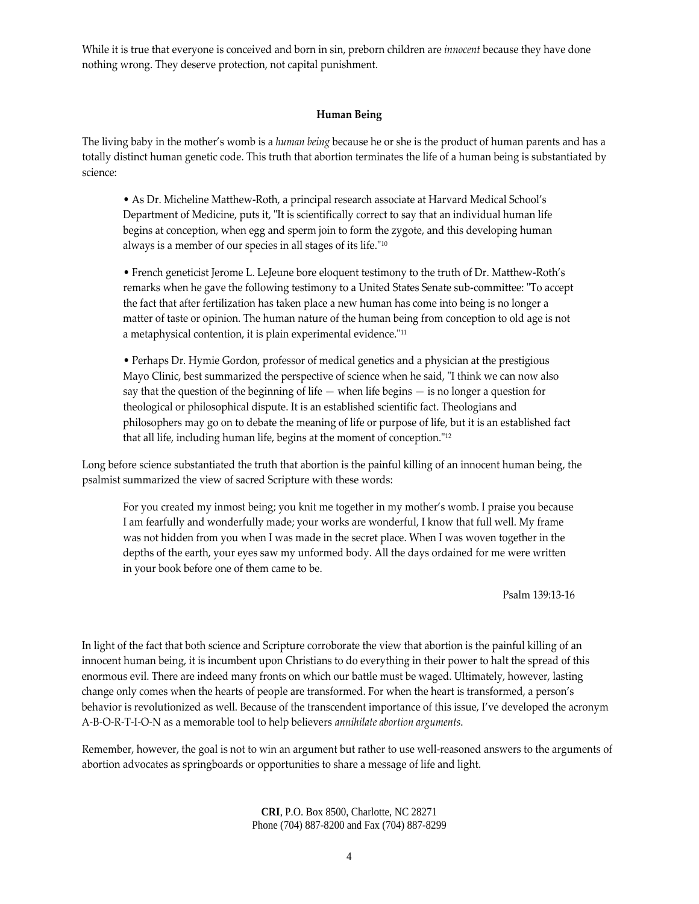While it is true that everyone is conceived and born in sin, preborn children are *innocent* because they have done nothing wrong. They deserve protection, not capital punishment.

### **Human Being**

The living baby in the mother's womb is a *human being* because he or she is the product of human parents and has a totally distinct human genetic code. This truth that abortion terminates the life of a human being is substantiated by science:

• As Dr. Micheline Matthew‐Roth, a principal research associate at Harvard Medical School's Department of Medicine, puts it, "It is scientifically correct to say that an individual human life begins at conception, when egg and sperm join to form the zygote, and this developing human always is a member of our species in all stages of its life."<sup>10</sup>

• French geneticist Jerome L. LeJeune bore eloquent testimony to the truth of Dr. Matthew‐Roth's remarks when he gave the following testimony to a United States Senate sub-committee: "To accept the fact that after fertilization has taken place a new human has come into being is no longer a matter of taste or opinion. The human nature of the human being from conception to old age is not a metaphysical contention, it is plain experimental evidence."<sup>11</sup>

• Perhaps Dr. Hymie Gordon, professor of medical genetics and a physician at the prestigious Mayo Clinic, best summarized the perspective of science when he said, "I think we can now also say that the question of the beginning of life  $-$  when life begins  $-$  is no longer a question for theological or philosophical dispute. It is an established scientific fact. Theologians and philosophers may go on to debate the meaning of life or purpose of life, but it is an established fact that all life, including human life, begins at the moment of conception."<sup>12</sup>

Long before science substantiated the truth that abortion is the painful killing of an innocent human being, the psalmist summarized the view of sacred Scripture with these words:

For you created my inmost being; you knit me together in my mother's womb. I praise you because I am fearfully and wonderfully made; your works are wonderful, I know that full well. My frame was not hidden from you when I was made in the secret place. When I was woven together in the depths of the earth, your eyes saw my unformed body. All the days ordained for me were written in your book before one of them came to be.

Psalm 139:13‐16

In light of the fact that both science and Scripture corroborate the view that abortion is the painful killing of an innocent human being, it is incumbent upon Christians to do everything in their power to halt the spread of this enormous evil. There are indeed many fronts on which our battle must be waged. Ultimately, however, lasting change only comes when the hearts of people are transformed. For when the heart is transformed, a person's behavior is revolutionized as well. Because of the transcendent importance of this issue, I've developed the acronym A‐B‐O‐R‐T‐I‐O‐N as a memorable tool to help believers *annihilate abortion arguments*.

Remember, however, the goal is not to win an argument but rather to use well-reasoned answers to the arguments of abortion advocates as springboards or opportunities to share a message of life and light.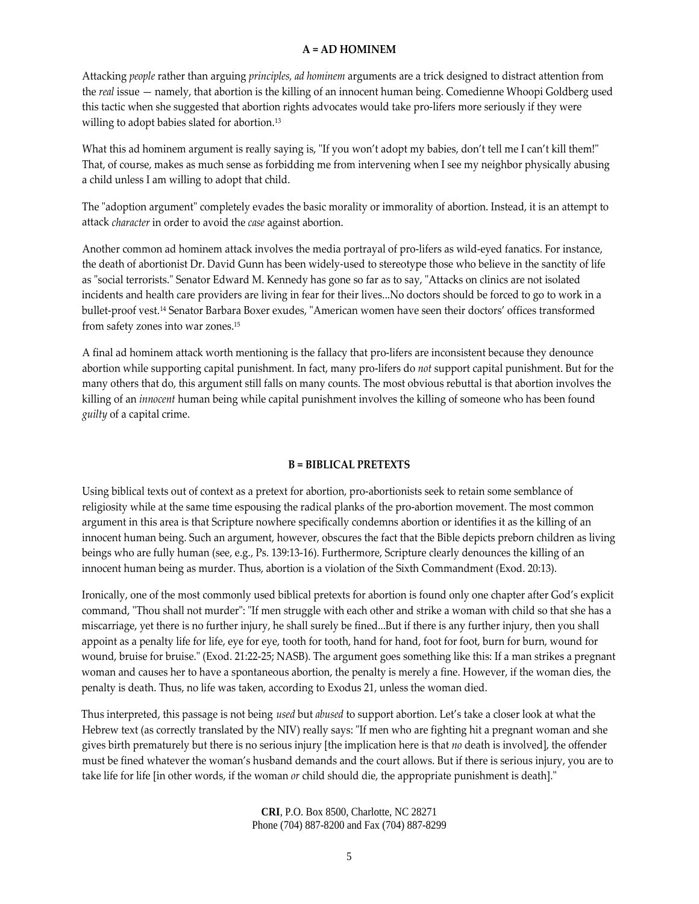#### **A = AD HOMINEM**

Attacking *people* rather than arguing *principles, ad hominem* arguments are a trick designed to distract attention from the *real* issue — namely, that abortion is the killing of an innocent human being. Comedienne Whoopi Goldberg used this tactic when she suggested that abortion rights advocates would take pro-lifers more seriously if they were willing to adopt babies slated for abortion.<sup>13</sup>

What this ad hominem argument is really saying is, "If you won't adopt my babies, don't tell me I can't kill them!" That, of course, makes as much sense as forbidding me from intervening when I see my neighbor physically abusing a child unless I am willing to adopt that child.

The "adoption argument" completely evades the basic morality or immorality of abortion. Instead, it is an attempt to attack *character* in order to avoid the *case* against abortion.

Another common ad hominem attack involves the media portrayal of pro-lifers as wild-eyed fanatics. For instance, the death of abortionist Dr. David Gunn has been widely‐used to stereotype those who believe in the sanctity of life as "social terrorists." Senator Edward M. Kennedy has gone so far as to say, "Attacks on clinics are not isolated incidents and health care providers are living in fear for their lives...No doctors should be forced to go to work in a bullet-proof vest.<sup>14</sup> Senator Barbara Boxer exudes, "American women have seen their doctors' offices transformed from safety zones into war zones.15

A final ad hominem attack worth mentioning is the fallacy that pro‐lifers are inconsistent because they denounce abortion while supporting capital punishment. In fact, many pro‐lifers do *not* support capital punishment. But for the many others that do, this argument still falls on many counts. The most obvious rebuttal is that abortion involves the killing of an *innocent* human being while capital punishment involves the killing of someone who has been found *guilty* of a capital crime.

### **B = BIBLICAL PRETEXTS**

Using biblical texts out of context as a pretext for abortion, pro‐abortionists seek to retain some semblance of religiosity while at the same time espousing the radical planks of the pro‐abortion movement. The most common argument in this area is that Scripture nowhere specifically condemns abortion or identifies it as the killing of an innocent human being. Such an argument, however, obscures the fact that the Bible depicts preborn children as living beings who are fully human (see, e.g., Ps. 139:13‐16). Furthermore, Scripture clearly denounces the killing of an innocent human being as murder. Thus, abortion is a violation of the Sixth Commandment (Exod. 20:13).

Ironically, one of the most commonly used biblical pretexts for abortion is found only one chapter after God's explicit command, "Thou shall not murder": "If men struggle with each other and strike a woman with child so that she has a miscarriage, yet there is no further injury, he shall surely be fined...But if there is any further injury, then you shall appoint as a penalty life for life, eye for eye, tooth for tooth, hand for hand, foot for foot, burn for burn, wound for wound, bruise for bruise." (Exod. 21:22-25; NASB). The argument goes something like this: If a man strikes a pregnant woman and causes her to have a spontaneous abortion, the penalty is merely a fine. However, if the woman dies, the penalty is death. Thus, no life was taken, according to Exodus 21, unless the woman died.

Thus interpreted, this passage is not being *used* but *abused* to support abortion. Let's take a closer look at what the Hebrew text (as correctly translated by the NIV) really says: "If men who are fighting hit a pregnant woman and she gives birth prematurely but there is no serious injury [the implication here is that *no* death is involved], the offender must be fined whatever the woman's husband demands and the court allows. But if there is serious injury, you are to take life for life [in other words, if the woman *or* child should die, the appropriate punishment is death].<sup>™</sup>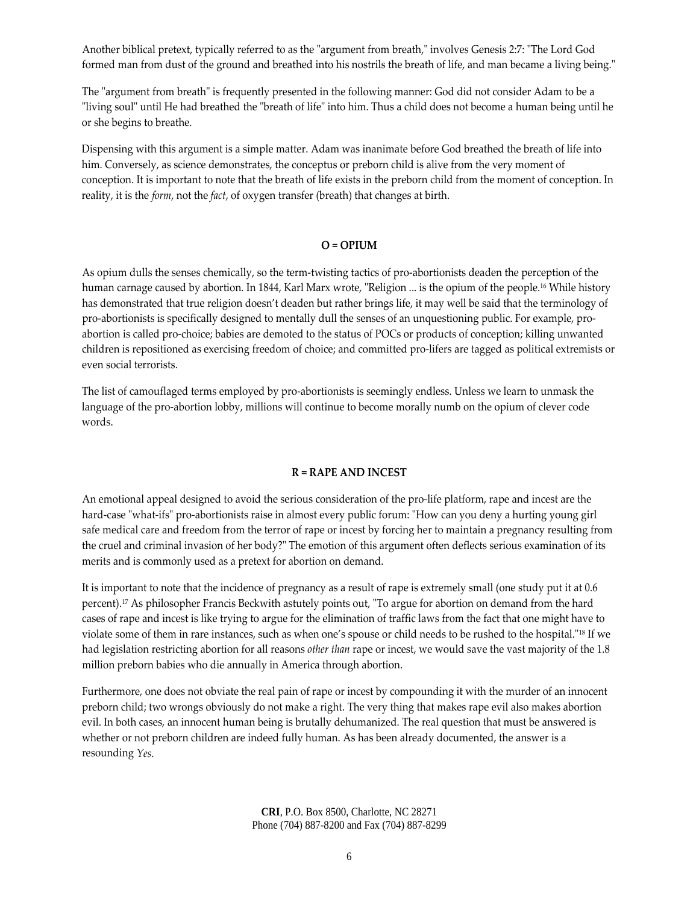Another biblical pretext, typically referred to as the "argument from breath," involves Genesis 2:7: "The Lord God formed man from dust of the ground and breathed into his nostrils the breath of life, and man became a living being."

The "argument from breath" is frequently presented in the following manner: God did not consider Adam to be a "living soul" until He had breathed the "breath of life" into him. Thus a child does not become a human being until he or she begins to breathe.

Dispensing with this argument is a simple matter. Adam was inanimate before God breathed the breath of life into him. Conversely, as science demonstrates, the conceptus or preborn child is alive from the very moment of conception. It is important to note that the breath of life exists in the preborn child from the moment of conception. In reality, it is the *form*, not the *fact*, of oxygen transfer (breath) that changes at birth.

#### **O = OPIUM**

As opium dulls the senses chemically, so the term-twisting tactics of pro-abortionists deaden the perception of the human carnage caused by abortion. In 1844, Karl Marx wrote, "Religion ... is the opium of the people.<sup>16</sup> While history has demonstrated that true religion doesn't deaden but rather brings life, it may well be said that the terminology of pro‐abortionists is specifically designed to mentally dull the senses of an unquestioning public. For example, pro‐ abortion is called pro‐choice; babies are demoted to the status of POCs or products of conception; killing unwanted children is repositioned as exercising freedom of choice; and committed pro‐lifers are tagged as political extremists or even social terrorists.

The list of camouflaged terms employed by pro‐abortionists is seemingly endless. Unless we learn to unmask the language of the pro‐abortion lobby, millions will continue to become morally numb on the opium of clever code words.

#### **R = RAPE AND INCEST**

An emotional appeal designed to avoid the serious consideration of the pro‐life platform, rape and incest are the hard-case "what-ifs" pro-abortionists raise in almost every public forum: "How can you deny a hurting young girl safe medical care and freedom from the terror of rape or incest by forcing her to maintain a pregnancy resulting from the cruel and criminal invasion of her body?" The emotion of this argument often deflects serious examination of its merits and is commonly used as a pretext for abortion on demand.

It is important to note that the incidence of pregnancy as a result of rape is extremely small (one study put it at 0.6 percent).<sup>17</sup> As philosopher Francis Beckwith astutely points out, "To argue for abortion on demand from the hard cases of rape and incest is like trying to argue for the elimination of traffic laws from the fact that one might have to violate some of them in rare instances, such as when one's spouse or child needs to be rushed to the hospital."<sup>18</sup> If we had legislation restricting abortion for all reasons *other than* rape or incest, we would save the vast majority of the 1.8 million preborn babies who die annually in America through abortion.

Furthermore, one does not obviate the real pain of rape or incest by compounding it with the murder of an innocent preborn child; two wrongs obviously do not make a right. The very thing that makes rape evil also makes abortion evil. In both cases, an innocent human being is brutally dehumanized. The real question that must be answered is whether or not preborn children are indeed fully human. As has been already documented, the answer is a resounding *Yes*.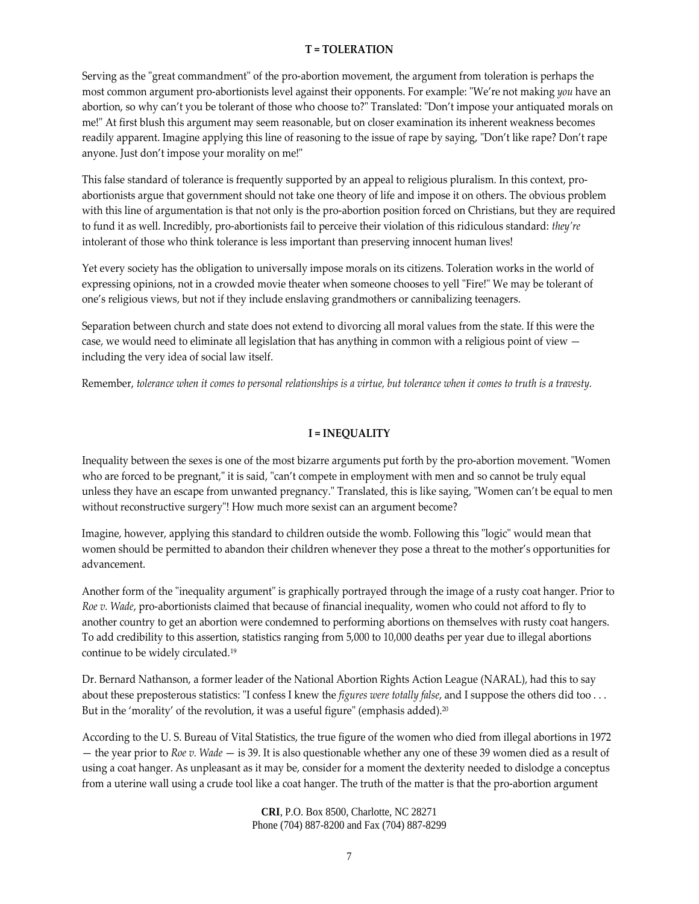#### **T = TOLERATION**

Serving as the "great commandment" of the pro-abortion movement, the argument from toleration is perhaps the most common argument pro-abortionists level against their opponents. For example: "We're not making *you* have an abortion, so why can't you be tolerant of those who choose to?" Translated: "Don't impose your antiquated morals on me!" At first blush this argument may seem reasonable, but on closer examination its inherent weakness becomes readily apparent. Imagine applying this line of reasoning to the issue of rape by saying, "Don't like rape? Don't rape anyone. Just don't impose your morality on me!"

This false standard of tolerance is frequently supported by an appeal to religious pluralism. In this context, pro‐ abortionists argue that government should not take one theory of life and impose it on others. The obvious problem with this line of argumentation is that not only is the pro-abortion position forced on Christians, but they are required to fund it as well. Incredibly, pro‐abortionists fail to perceive their violation of this ridiculous standard: *they're* intolerant of those who think tolerance is less important than preserving innocent human lives!

Yet every society has the obligation to universally impose morals on its citizens. Toleration works in the world of expressing opinions, not in a crowded movie theater when someone chooses to yell "Fire!" We may be tolerant of one's religious views, but not if they include enslaving grandmothers or cannibalizing teenagers.

Separation between church and state does not extend to divorcing all moral values from the state. If this were the case, we would need to eliminate all legislation that has anything in common with a religious point of view including the very idea of social law itself.

Remember, tolerance when it comes to personal relationships is a virtue, but tolerance when it comes to truth is a travesty.

#### **I = INEQUALITY**

Inequality between the sexes is one of the most bizarre arguments put forth by the pro-abortion movement. "Women who are forced to be pregnant," it is said, "can't compete in employment with men and so cannot be truly equal unless they have an escape from unwanted pregnancy." Translated, this is like saying, "Women can't be equal to men without reconstructive surgery"! How much more sexist can an argument become?

Imagine, however, applying this standard to children outside the womb. Following this "logic" would mean that women should be permitted to abandon their children whenever they pose a threat to the mother's opportunities for advancement.

Another form of the "inequality argument" is graphically portrayed through the image of a rusty coat hanger. Prior to *Roe v. Wade*, pro‐abortionists claimed that because of financial inequality, women who could not afford to fly to another country to get an abortion were condemned to performing abortions on themselves with rusty coat hangers. To add credibility to this assertion, statistics ranging from 5,000 to 10,000 deaths per year due to illegal abortions continue to be widely circulated.19

Dr. Bernard Nathanson, a former leader of the National Abortion Rights Action League (NARAL), had this to say about these preposterous statistics: "I confess I knew the *figures were totally false*, and I suppose the others did too . . . But in the 'morality' of the revolution, it was a useful figure" (emphasis added).<sup>20</sup>

According to the U. S. Bureau of Vital Statistics, the true figure of the women who died from illegal abortions in 1972 — the year prior to *Roe v. Wade* — is 39. It is also questionable whether any one of these 39 women died as a result of using a coat hanger. As unpleasant as it may be, consider for a moment the dexterity needed to dislodge a conceptus from a uterine wall using a crude tool like a coat hanger. The truth of the matter is that the pro-abortion argument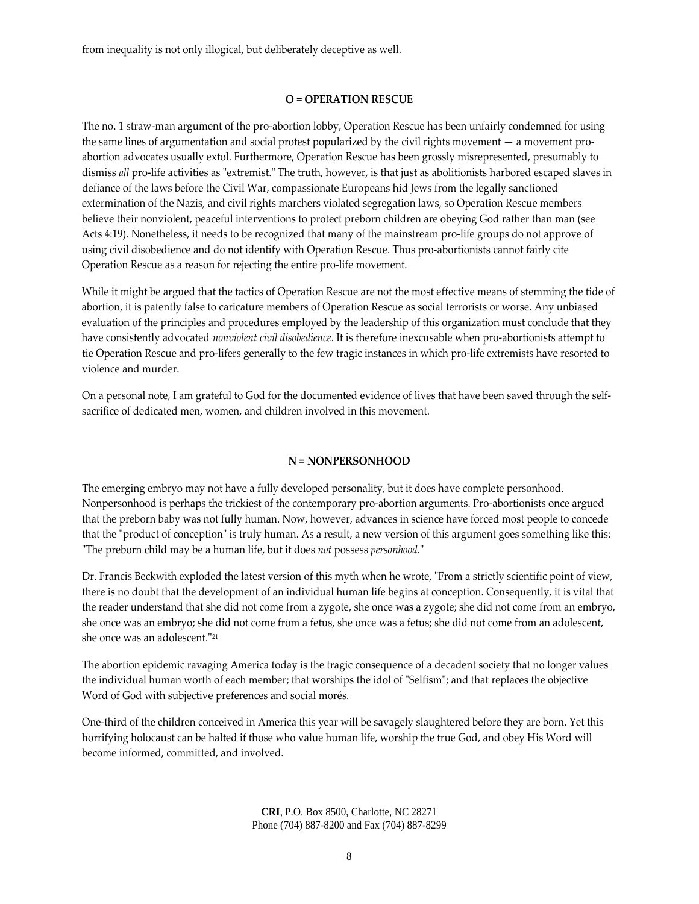from inequality is not only illogical, but deliberately deceptive as well.

#### **O = OPERATION RESCUE**

The no. 1 straw-man argument of the pro-abortion lobby, Operation Rescue has been unfairly condemned for using the same lines of argumentation and social protest popularized by the civil rights movement — a movement proabortion advocates usually extol. Furthermore, Operation Rescue has been grossly misrepresented, presumably to dismiss *all* pro-life activities as "extremist." The truth, however, is that just as abolitionists harbored escaped slaves in defiance of the laws before the Civil War, compassionate Europeans hid Jews from the legally sanctioned extermination of the Nazis, and civil rights marchers violated segregation laws, so Operation Rescue members believe their nonviolent, peaceful interventions to protect preborn children are obeying God rather than man (see Acts 4:19). Nonetheless, it needs to be recognized that many of the mainstream pro‐life groups do not approve of using civil disobedience and do not identify with Operation Rescue. Thus pro‐abortionists cannot fairly cite Operation Rescue as a reason for rejecting the entire pro‐life movement.

While it might be argued that the tactics of Operation Rescue are not the most effective means of stemming the tide of abortion, it is patently false to caricature members of Operation Rescue as social terrorists or worse. Any unbiased evaluation of the principles and procedures employed by the leadership of this organization must conclude that they have consistently advocated *nonviolent civil disobedience*. It is therefore inexcusable when pro‐abortionists attempt to tie Operation Rescue and pro‐lifers generally to the few tragic instances in which pro‐life extremists have resorted to violence and murder.

On a personal note, I am grateful to God for the documented evidence of lives that have been saved through the self‐ sacrifice of dedicated men, women, and children involved in this movement.

# **N = NONPERSONHOOD**

The emerging embryo may not have a fully developed personality, but it does have complete personhood. Nonpersonhood is perhaps the trickiest of the contemporary pro‐abortion arguments. Pro‐abortionists once argued that the preborn baby was not fully human. Now, however, advances in science have forced most people to concede that the "product of conception" is truly human. As a result, a new version of this argument goes something like this: ʺThe preborn child may be a human life, but it does *not* possess *personhood*.ʺ

Dr. Francis Beckwith exploded the latest version of this myth when he wrote, "From a strictly scientific point of view, there is no doubt that the development of an individual human life begins at conception. Consequently, it is vital that the reader understand that she did not come from a zygote, she once was a zygote; she did not come from an embryo, she once was an embryo; she did not come from a fetus, she once was a fetus; she did not come from an adolescent, she once was an adolescent."<sup>21</sup>

The abortion epidemic ravaging America today is the tragic consequence of a decadent society that no longer values the individual human worth of each member; that worships the idol of "Selfism"; and that replaces the objective Word of God with subjective preferences and social morés.

One‐third of the children conceived in America this year will be savagely slaughtered before they are born. Yet this horrifying holocaust can be halted if those who value human life, worship the true God, and obey His Word will become informed, committed, and involved.